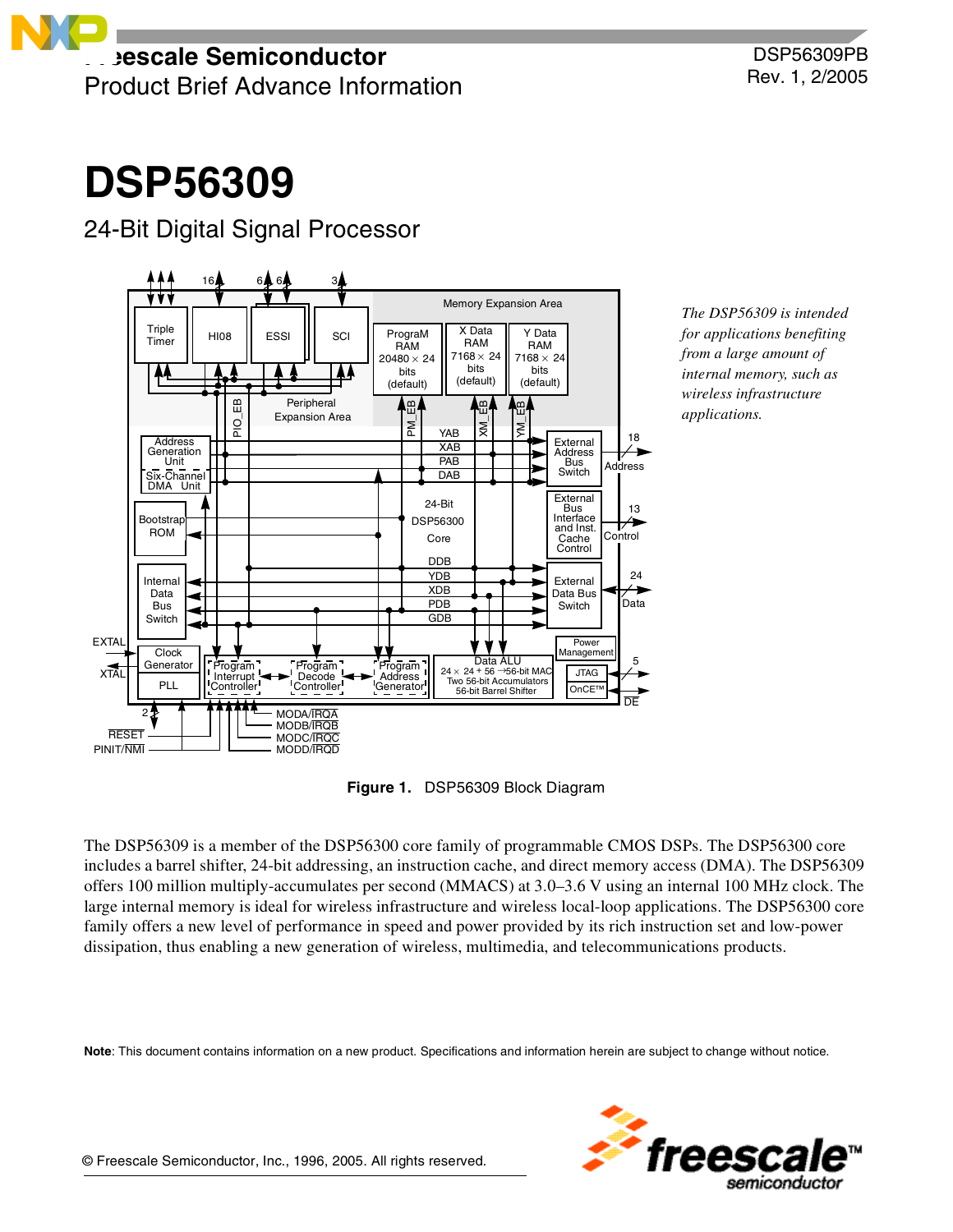# **DSP56309**

## 24-Bit Digital Signal Processor



*The DSP56309 is intended for applications benefiting from a large amount of internal memory, such as wireless infrastructure applications.*

**Figure 1.** DSP56309 Block Diagram

The DSP56309 is a member of the DSP56300 core family of programmable CMOS DSPs. The DSP56300 core includes a barrel shifter, 24-bit addressing, an instruction cache, and direct memory access (DMA). The DSP56309 offers 100 million multiply-accumulates per second (MMACS) at 3.0–3.6 V using an internal 100 MHz clock. The large internal memory is ideal for wireless infrastructure and wireless local-loop applications. The DSP56300 core family offers a new level of performance in speed and power provided by its rich instruction set and low-power dissipation, thus enabling a new generation of wireless, multimedia, and telecommunications products.

**Note**: This document contains information on a new product. Specifications and information herein are subject to change without notice.



© Freescale Semiconductor, Inc., 1996, 2005. All rights reserved.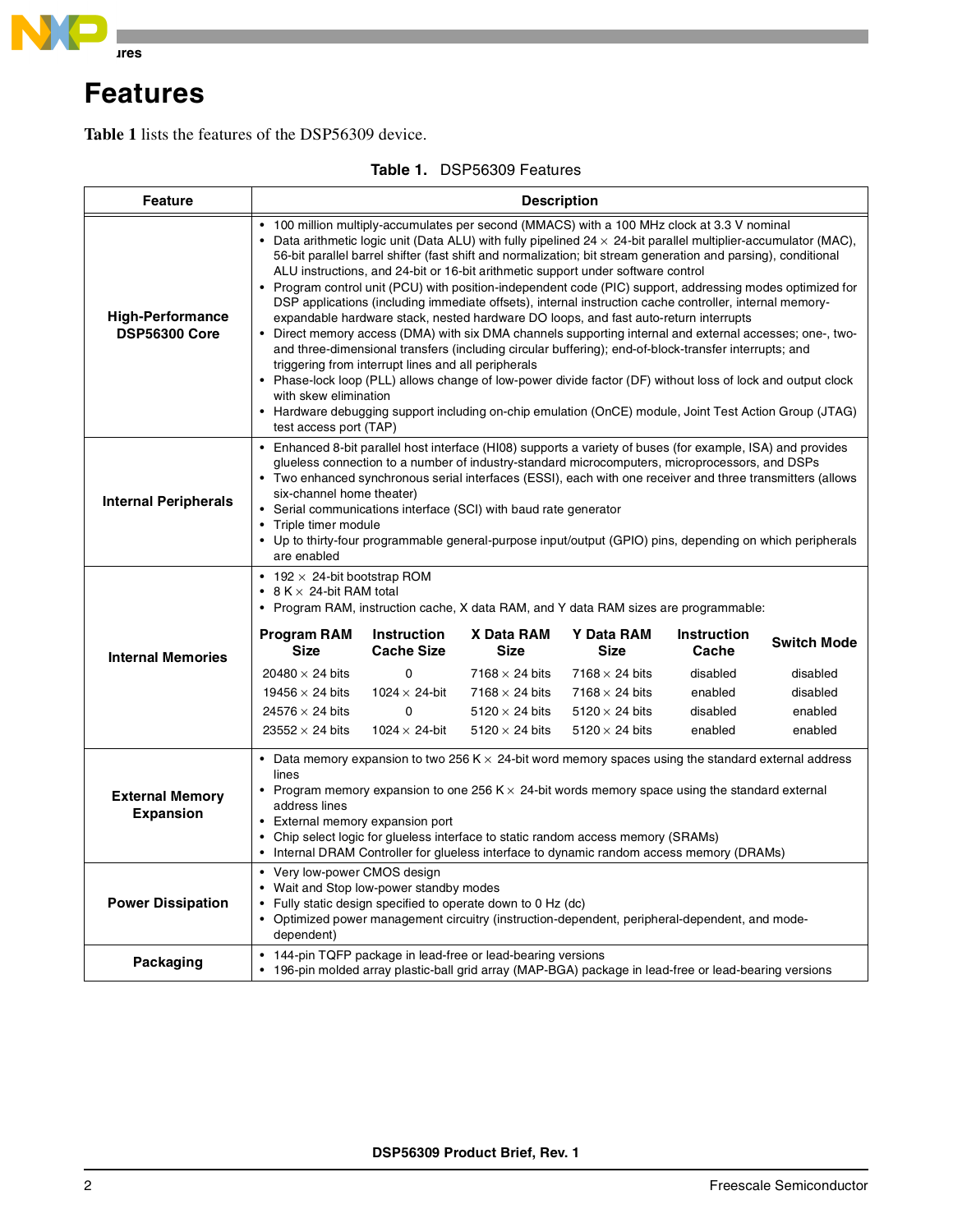

## **Features**

**[Table 1](#page-1-0)** lists the features of the DSP56309 device.

<span id="page-1-0"></span>

| <b>Feature</b>                                  | <b>Description</b>                                                                                                                                                                                                                                                                                                                                                                                                                                                                                                                                                                                                                                                                                                                                                                                                                                                                                                                                                                                                                                                                                                                                                                                                                                                                                |                                                                                                     |                                                                                                                               |                                                                                                                               |                                                                           |                                                                  |
|-------------------------------------------------|---------------------------------------------------------------------------------------------------------------------------------------------------------------------------------------------------------------------------------------------------------------------------------------------------------------------------------------------------------------------------------------------------------------------------------------------------------------------------------------------------------------------------------------------------------------------------------------------------------------------------------------------------------------------------------------------------------------------------------------------------------------------------------------------------------------------------------------------------------------------------------------------------------------------------------------------------------------------------------------------------------------------------------------------------------------------------------------------------------------------------------------------------------------------------------------------------------------------------------------------------------------------------------------------------|-----------------------------------------------------------------------------------------------------|-------------------------------------------------------------------------------------------------------------------------------|-------------------------------------------------------------------------------------------------------------------------------|---------------------------------------------------------------------------|------------------------------------------------------------------|
| <b>High-Performance</b><br><b>DSP56300 Core</b> | 100 million multiply-accumulates per second (MMACS) with a 100 MHz clock at 3.3 V nominal<br>• Data arithmetic logic unit (Data ALU) with fully pipelined $24 \times 24$ -bit parallel multiplier-accumulator (MAC),<br>56-bit parallel barrel shifter (fast shift and normalization; bit stream generation and parsing), conditional<br>ALU instructions, and 24-bit or 16-bit arithmetic support under software control<br>• Program control unit (PCU) with position-independent code (PIC) support, addressing modes optimized for<br>DSP applications (including immediate offsets), internal instruction cache controller, internal memory-<br>expandable hardware stack, nested hardware DO loops, and fast auto-return interrupts<br>• Direct memory access (DMA) with six DMA channels supporting internal and external accesses; one-, two-<br>and three-dimensional transfers (including circular buffering); end-of-block-transfer interrupts; and<br>triggering from interrupt lines and all peripherals<br>• Phase-lock loop (PLL) allows change of low-power divide factor (DF) without loss of lock and output clock<br>with skew elimination<br>• Hardware debugging support including on-chip emulation (OnCE) module, Joint Test Action Group (JTAG)<br>test access port (TAP) |                                                                                                     |                                                                                                                               |                                                                                                                               |                                                                           |                                                                  |
| <b>Internal Peripherals</b>                     | • Enhanced 8-bit parallel host interface (HI08) supports a variety of buses (for example, ISA) and provides<br>glueless connection to a number of industry-standard microcomputers, microprocessors, and DSPs<br>• Two enhanced synchronous serial interfaces (ESSI), each with one receiver and three transmitters (allows<br>six-channel home theater)<br>• Serial communications interface (SCI) with baud rate generator<br>• Triple timer module<br>• Up to thirty-four programmable general-purpose input/output (GPIO) pins, depending on which peripherals<br>are enabled                                                                                                                                                                                                                                                                                                                                                                                                                                                                                                                                                                                                                                                                                                                 |                                                                                                     |                                                                                                                               |                                                                                                                               |                                                                           |                                                                  |
| <b>Internal Memories</b>                        | • 192 $\times$ 24-bit bootstrap ROM<br>• $8 K \times 24$ -bit RAM total<br>• Program RAM, instruction cache, X data RAM, and Y data RAM sizes are programmable:<br><b>Program RAM</b><br><b>Size</b><br>20480 $\times$ 24 bits<br>19456 $\times$ 24 bits<br>24576 $\times$ 24 bits<br>23552 $\times$ 24 bits                                                                                                                                                                                                                                                                                                                                                                                                                                                                                                                                                                                                                                                                                                                                                                                                                                                                                                                                                                                      | Instruction<br><b>Cache Size</b><br>0<br>$1024 \times 24$ -bit<br>$\Omega$<br>$1024 \times 24$ -bit | X Data RAM<br><b>Size</b><br>7168 $\times$ 24 bits<br>7168 $\times$ 24 bits<br>$5120 \times 24$ bits<br>$5120 \times 24$ bits | Y Data RAM<br><b>Size</b><br>7168 $\times$ 24 bits<br>7168 $\times$ 24 bits<br>$5120 \times 24$ bits<br>$5120 \times 24$ bits | <b>Instruction</b><br>Cache<br>disabled<br>enabled<br>disabled<br>enabled | <b>Switch Mode</b><br>disabled<br>disabled<br>enabled<br>enabled |
| <b>External Memory</b><br><b>Expansion</b>      | • Data memory expansion to two 256 K $\times$ 24-bit word memory spaces using the standard external address<br>lines<br>• Program memory expansion to one 256 K $\times$ 24-bit words memory space using the standard external<br>address lines<br>• External memory expansion port<br>• Chip select logic for glueless interface to static random access memory (SRAMs)<br>Internal DRAM Controller for glueless interface to dynamic random access memory (DRAMs)                                                                                                                                                                                                                                                                                                                                                                                                                                                                                                                                                                                                                                                                                                                                                                                                                               |                                                                                                     |                                                                                                                               |                                                                                                                               |                                                                           |                                                                  |
| <b>Power Dissipation</b>                        | • Very low-power CMOS design<br>• Wait and Stop low-power standby modes<br>• Fully static design specified to operate down to 0 Hz (dc)<br>• Optimized power management circuitry (instruction-dependent, peripheral-dependent, and mode-<br>dependent)                                                                                                                                                                                                                                                                                                                                                                                                                                                                                                                                                                                                                                                                                                                                                                                                                                                                                                                                                                                                                                           |                                                                                                     |                                                                                                                               |                                                                                                                               |                                                                           |                                                                  |
| Packaging                                       | • 144-pin TQFP package in lead-free or lead-bearing versions<br>• 196-pin molded array plastic-ball grid array (MAP-BGA) package in lead-free or lead-bearing versions                                                                                                                                                                                                                                                                                                                                                                                                                                                                                                                                                                                                                                                                                                                                                                                                                                                                                                                                                                                                                                                                                                                            |                                                                                                     |                                                                                                                               |                                                                                                                               |                                                                           |                                                                  |

## **Table 1.** DSP56309 Features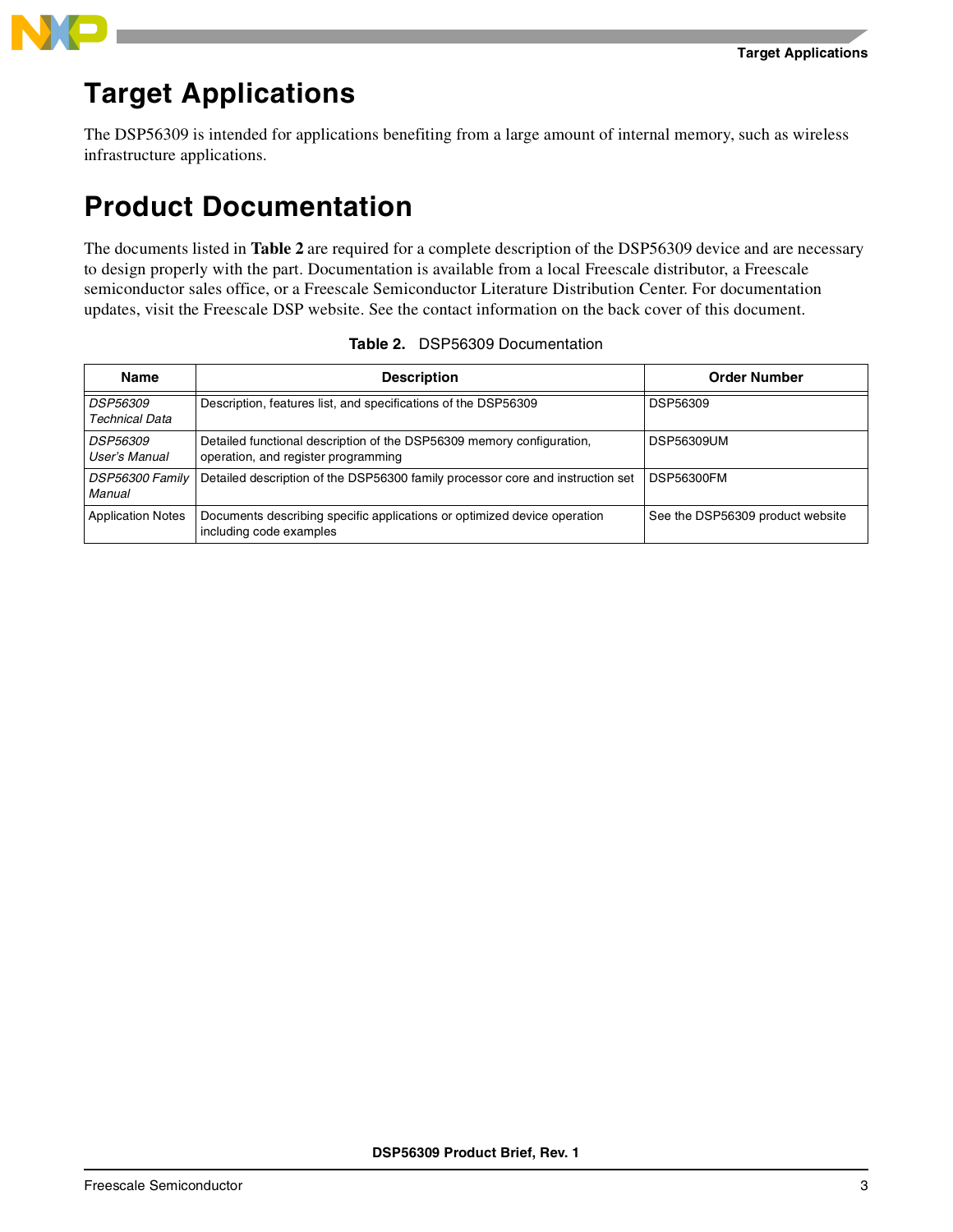

## **Target Applications**

The DSP56309 is intended for applications benefiting from a large amount of internal memory, such as wireless infrastructure applications.

## **Product Documentation**

The documents listed in **[Table 2](#page-2-0)** are required for a complete description of the DSP56309 device and are necessary to design properly with the part. Documentation is available from a local Freescale distributor, a Freescale semiconductor sales office, or a Freescale Semiconductor Literature Distribution Center. For documentation updates, visit the Freescale DSP website. See the contact information on the back cover of this document.

<span id="page-2-0"></span>

| <b>Name</b>                              | <b>Description</b>                                                                                           | <b>Order Number</b>              |  |
|------------------------------------------|--------------------------------------------------------------------------------------------------------------|----------------------------------|--|
| <b>DSP56309</b><br><b>Technical Data</b> | Description, features list, and specifications of the DSP56309                                               | <b>DSP56309</b>                  |  |
| <i>DSP56309</i><br>User's Manual         | Detailed functional description of the DSP56309 memory configuration,<br>operation, and register programming | <b>DSP56309UM</b>                |  |
| DSP56300 Family<br>Manual                | Detailed description of the DSP56300 family processor core and instruction set                               | <b>DSP56300FM</b>                |  |
| <b>Application Notes</b>                 | Documents describing specific applications or optimized device operation<br>including code examples          | See the DSP56309 product website |  |

## **Table 2.** DSP56309 Documentation